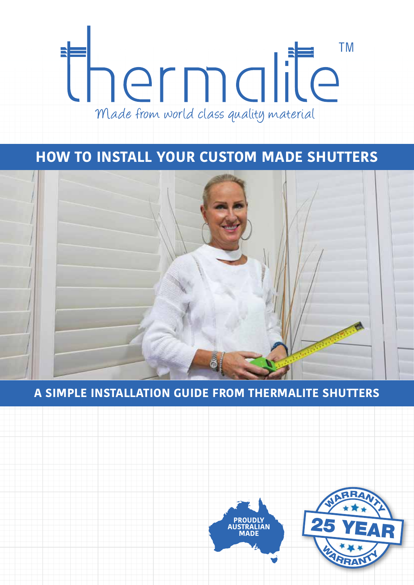

# **HOW TO INSTALL YOUR CUSTOM MADE SHUTTERS**



## **A SIMPLE INSTALLATION GUIDE FROM THERMALITE SHUTTERS**



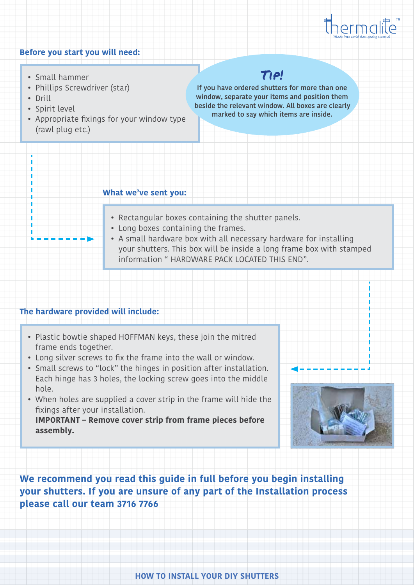

#### **Before you start you will need:**

- Small hammer
- Phillips Screwdriver (star)
- Drill
- Spirit level
- Appropriate fixings for your window type (rawl plug etc.)

# Tip!

**If you have ordered shutters for more than one window, separate your items and position them beside the relevant window. All boxes are clearly marked to say which items are inside.**

#### **What we've sent you:**

- Rectangular boxes containing the shutter panels.
- Long boxes containing the frames.
- A small hardware box with all necessary hardware for installing your shutters. This box will be inside a long frame box with stamped information " HARDWARE PACK LOCATED THIS END".

#### **The hardware provided will include:**

- Plastic bowtie shaped HOFFMAN keys, these join the mitred frame ends together.
- Long silver screws to fix the frame into the wall or window.
- Small screws to "lock" the hinges in position after installation. Each hinge has 3 holes, the locking screw goes into the middle hole.
- When holes are supplied a cover strip in the frame will hide the fixings after your installation.

**IMPORTANT – Remove cover strip from frame pieces before assembly.**



**We recommend you read this guide in full before you begin installing your shutters. If you are unsure of any part of the Installation process please call our team 3716 7766**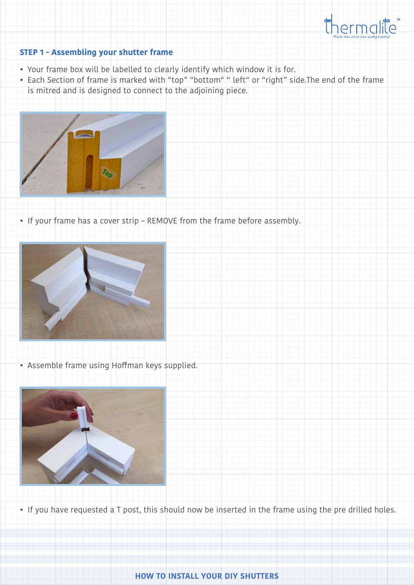

### **STEP 1 - Assembling your shutter frame**

- Your frame box will be labelled to clearly identify which window it is for.
- Each Section of frame is marked with "top" "bottom" " left" or "right" side.The end of the frame is mitred and is designed to connect to the adjoining piece.



• If your frame has a cover strip – REMOVE from the frame before assembly.



• Assemble frame using Hoffman keys supplied.



• If you have requested a T post, this should now be inserted in the frame using the pre drilled holes.

#### **HOW TO INSTALL YOUR DIY SHUTTERS**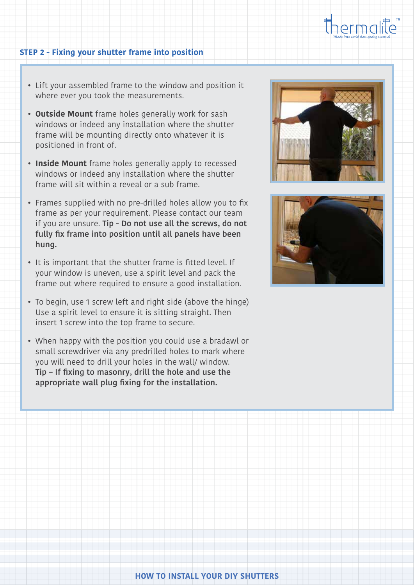

#### **STEP 2 - Fixing your shutter frame into position**

- Lift your assembled frame to the window and position it where ever you took the measurements.
- **• Outside Mount** frame holes generally work for sash windows or indeed any installation where the shutter frame will be mounting directly onto whatever it is positioned in front of.
- **• Inside Mount** frame holes generally apply to recessed windows or indeed any installation where the shutter frame will sit within a reveal or a sub frame.
- Frames supplied with no pre-drilled holes allow you to fix frame as per your requirement. Please contact our team if you are unsure. **Tip - Do not use all the screws, do not fully fix frame into position until all panels have been hung.**
- It is important that the shutter frame is fitted level. If your window is uneven, use a spirit level and pack the frame out where required to ensure a good installation.
- To begin, use 1 screw left and right side (above the hinge) Use a spirit level to ensure it is sitting straight. Then insert 1 screw into the top frame to secure.
- When happy with the position you could use a bradawl or small screwdriver via any predrilled holes to mark where you will need to drill your holes in the wall/ window. **Tip – If fixing to masonry, drill the hole and use the appropriate wall plug fixing for the installation.**



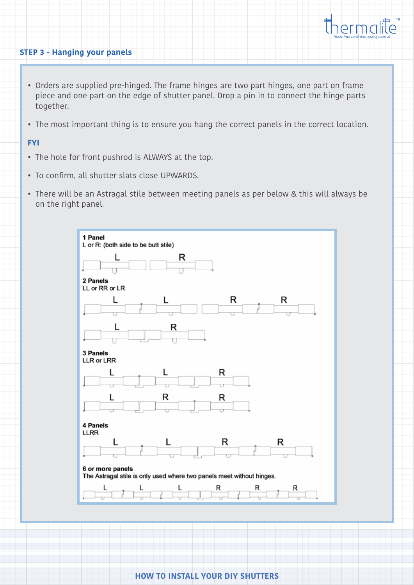

#### **STEP 3 - Hanging your panels**

- Orders are supplied pre-hinged. The frame hinges are two part hinges, one part on frame piece and one part on the edge of shutter panel. Drop a pin in to connect the hinge parts together.
- The most important thing is to ensure you hang the correct panels in the correct location.

#### **FYI**

- The hole for front pushrod is ALWAYS at the top.
- To confirm, all shutter slats close UPWARDS.
- There will be an Astragal stile between meeting panels as per below & this will always be on the right panel.

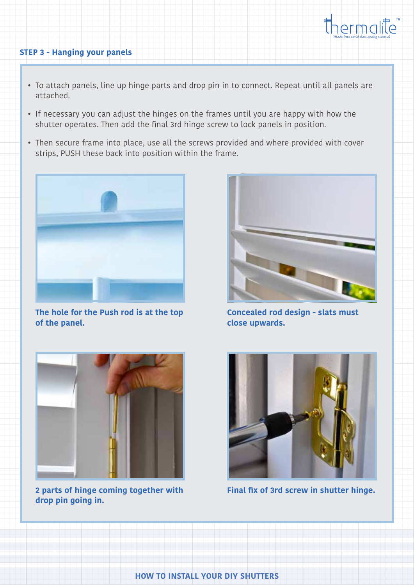

### **STEP 3 - Hanging your panels**

- To attach panels, line up hinge parts and drop pin in to connect. Repeat until all panels are attached.
- If necessary you can adjust the hinges on the frames until you are happy with how the shutter operates. Then add the final 3rd hinge screw to lock panels in position.
- Then secure frame into place, use all the screws provided and where provided with cover strips, PUSH these back into position within the frame.



**The hole for the Push rod is at the top of the panel.**



**Concealed rod design - slats must close upwards.**



**2 parts of hinge coming together with drop pin going in.** 



**Final fix of 3rd screw in shutter hinge.**

**HOW TO INSTALL YOUR DIY SHUTTERS**